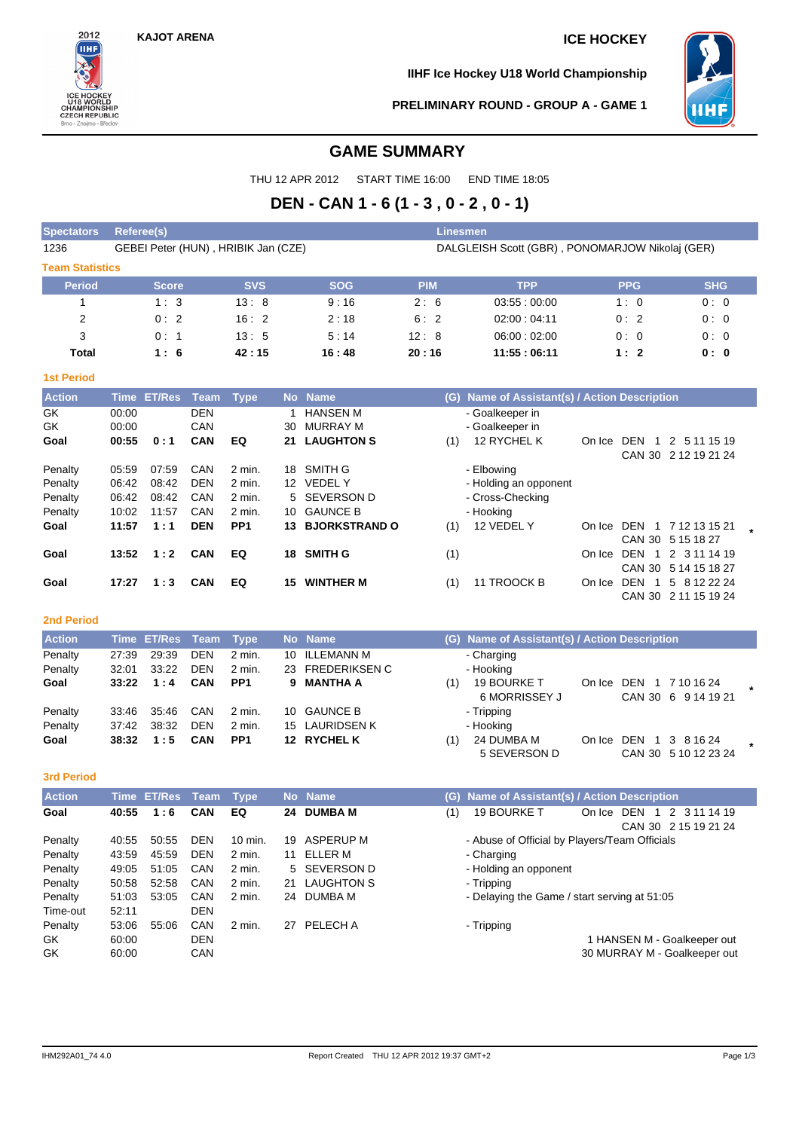

**IIHF Ice Hockey U18 World Championship**



**PRELIMINARY ROUND - GROUP A - GAME 1**

# **GAME SUMMARY**

THU 12 APR 2012 START TIME 16:00 END TIME 18:05

# **DEN - CAN 1 - 6 (1 - 3 , 0 - 2 , 0 - 1)**

| <b>Spectators</b>        | Referee(s)                          |            |            | Linesmen                                        |             |            |            |  |  |  |  |
|--------------------------|-------------------------------------|------------|------------|-------------------------------------------------|-------------|------------|------------|--|--|--|--|
| 1236                     | GEBEI Peter (HUN), HRIBIK Jan (CZE) |            |            | DALGLEISH Scott (GBR), PONOMARJOW Nikolaj (GER) |             |            |            |  |  |  |  |
| <b>Team Statistics</b>   |                                     |            |            |                                                 |             |            |            |  |  |  |  |
| <b>Period</b>            | <b>Score</b>                        | <b>SVS</b> | <b>SOG</b> | <b>PIM</b>                                      | <b>TPP</b>  | <b>PPG</b> | <b>SHG</b> |  |  |  |  |
|                          | 1:3                                 | 13:8       | 9:16       | 2:6                                             | 03.55:00.00 | 1:0        | 0:0        |  |  |  |  |
| 2                        | 0:2                                 | 16:2       | 2:18       | 6:2                                             | 02:00:04:11 | 0:2        | 0:0        |  |  |  |  |
| 3                        | 0:1                                 | 13:5       | 5:14       | 12:8                                            | 06:00:02:00 | 0:0        | 0:0        |  |  |  |  |
| Total                    | 1:6                                 | 42:15      | 16:48      | 20:16                                           | 11:55:06:11 | 1:2        | 0: 0       |  |  |  |  |
| <b><i>Act Doriad</i></b> |                                     |            |            |                                                 |             |            |            |  |  |  |  |

### **1st Period**

| <b>Action</b> | <b>Time</b> | <b>ET/Res</b> | Team       | Type            |     | No Name              | (G) | Name of Assistant(s) / Action Description |        |                       |                      |
|---------------|-------------|---------------|------------|-----------------|-----|----------------------|-----|-------------------------------------------|--------|-----------------------|----------------------|
| GK            | 00:00       |               | <b>DEN</b> |                 |     | <b>HANSEN M</b>      |     | - Goalkeeper in                           |        |                       |                      |
| GK            | 00:00       |               | CAN        |                 | 30  | MURRAY M             |     | - Goalkeeper in                           |        |                       |                      |
| Goal          | 00:55       | 0:1           | <b>CAN</b> | EQ              | 21  | <b>LAUGHTON S</b>    | (1) | 12 RYCHEL K                               | On Ice | DEN                   | 2 5 11 15 19         |
|               |             |               |            |                 |     |                      |     |                                           |        |                       | CAN 30 2 12 19 21 24 |
| Penalty       | 05:59       | 07:59         | CAN        | 2 min.          | 18  | SMITH G              |     | - Elbowing                                |        |                       |                      |
| Penalty       | 06:42       | 08:42         | <b>DEN</b> | 2 min.          | 12  | <b>VEDELY</b>        |     | - Holding an opponent                     |        |                       |                      |
| Penalty       | 06:42       | 08:42         | CAN        | 2 min.          |     | 5 SEVERSON D         |     | - Cross-Checking                          |        |                       |                      |
| Penalty       | 10:02       | 11:57         | CAN        | 2 min.          | 10. | <b>GAUNCE B</b>      |     | - Hooking                                 |        |                       |                      |
| Goal          | 11:57       | 1:1           | <b>DEN</b> | PP <sub>1</sub> | 13. | <b>BJORKSTRAND O</b> | (1) | 12 VEDEL Y                                | On Ice |                       | DEN 1 7 12 13 15 21  |
|               |             |               |            |                 |     |                      |     |                                           |        |                       | CAN 30 5 15 18 27    |
| Goal          | 13:52       | 1:2           | <b>CAN</b> | EQ              | 18  | <b>SMITH G</b>       | (1) |                                           | On Ice | DEN<br>$\overline{1}$ | 2 3 11 14 19         |
|               |             |               |            |                 |     |                      |     |                                           |        | CAN 30                | 5 14 15 18 27        |
| Goal          | 17:27       | 1:3           | <b>CAN</b> | EQ              | 15  | <b>WINTHER M</b>     | (1) | 11 TROOCK B                               | On Ice | DEN                   | 5 8 12 22 24         |
|               |             |               |            |                 |     |                      |     |                                           |        | CAN 30                | 2 11 15 19 24        |

## **2nd Period**

| <b>Action</b> |       | Time ET/Res Team |            | Type            | No Name          |     | (G) Name of Assistant(s) / Action Description |            |                                            |  |
|---------------|-------|------------------|------------|-----------------|------------------|-----|-----------------------------------------------|------------|--------------------------------------------|--|
| Penalty       | 27.39 | 29:39            | DEN        | 2 min.          | 10 ILLEMANN M    |     | - Charging                                    |            |                                            |  |
| Penalty       | 32:01 | 33:22            | <b>DEN</b> | 2 min.          | 23 FREDERIKSEN C |     | - Hooking                                     |            |                                            |  |
| Goal          | 33:22 | 1:4              | CAN        | PP <sub>1</sub> | 9 MANTHA A       | (1) | <b>19 BOURKE T</b><br>6 MORRISSEY J           | On Ice     | DEN<br>1 7 10 16 24<br>CAN 30 6 9 14 19 21 |  |
| Penalty       | 33.46 | 35:46            | CAN        | 2 min.          | 10 GAUNCE B      |     | - Tripping                                    |            |                                            |  |
| Penalty       | 37:42 | 38:32            | <b>DEN</b> | 2 min.          | 15 LAURIDSEN K   |     | - Hooking                                     |            |                                            |  |
| Goal          | 38:32 | 1:5              | <b>CAN</b> | PP <sub>1</sub> | 12 RYCHEL K      | (1) | 24 DUMBA M<br>5 SEVERSON D                    | On Ice DEN | 1 3 8 16 24<br>CAN 30 5 10 12 23 24        |  |

### **3rd Period**

| <b>Action</b> |       | Time ET/Res | Team       | <b>Type</b>        |    | No Name           | (G) | Name of Assistant(s) / Action Description     |        |                              |
|---------------|-------|-------------|------------|--------------------|----|-------------------|-----|-----------------------------------------------|--------|------------------------------|
| Goal          | 40:55 | 1:6         | <b>CAN</b> | EQ                 | 24 | <b>DUMBA M</b>    | (1) | <b>19 BOURKE T</b>                            | On Ice | DEN<br>2 3 11 14 19          |
|               |       |             |            |                    |    |                   |     |                                               |        | CAN 30 2 15 19 21 24         |
| Penalty       | 40:55 | 50:55       | <b>DEN</b> | $10 \text{ min}$ . | 19 | ASPERUP M         |     | - Abuse of Official by Players/Team Officials |        |                              |
| Penalty       | 43:59 | 45:59       | <b>DEN</b> | $2$ min.           | 11 | ELLER M           |     | - Charging                                    |        |                              |
| Penalty       | 49:05 | 51:05       | CAN        | $2$ min.           |    | 5 SEVERSON D      |     | - Holding an opponent                         |        |                              |
| Penalty       | 50:58 | 52:58       | <b>CAN</b> | 2 min.             | 21 | <b>LAUGHTON S</b> |     | - Tripping                                    |        |                              |
| Penalty       | 51:03 | 53:05       | <b>CAN</b> | 2 min.             | 24 | DUMBA M           |     | - Delaying the Game / start serving at 51:05  |        |                              |
| Time-out      | 52:11 |             | <b>DEN</b> |                    |    |                   |     |                                               |        |                              |
| Penalty       | 53:06 | 55:06       | <b>CAN</b> | $2$ min.           | 27 | PELECH A          |     | - Tripping                                    |        |                              |
| GK            | 60:00 |             | <b>DEN</b> |                    |    |                   |     |                                               |        | 1 HANSEN M - Goalkeeper out  |
| GK            | 60:00 |             | CAN        |                    |    |                   |     |                                               |        | 30 MURRAY M - Goalkeeper out |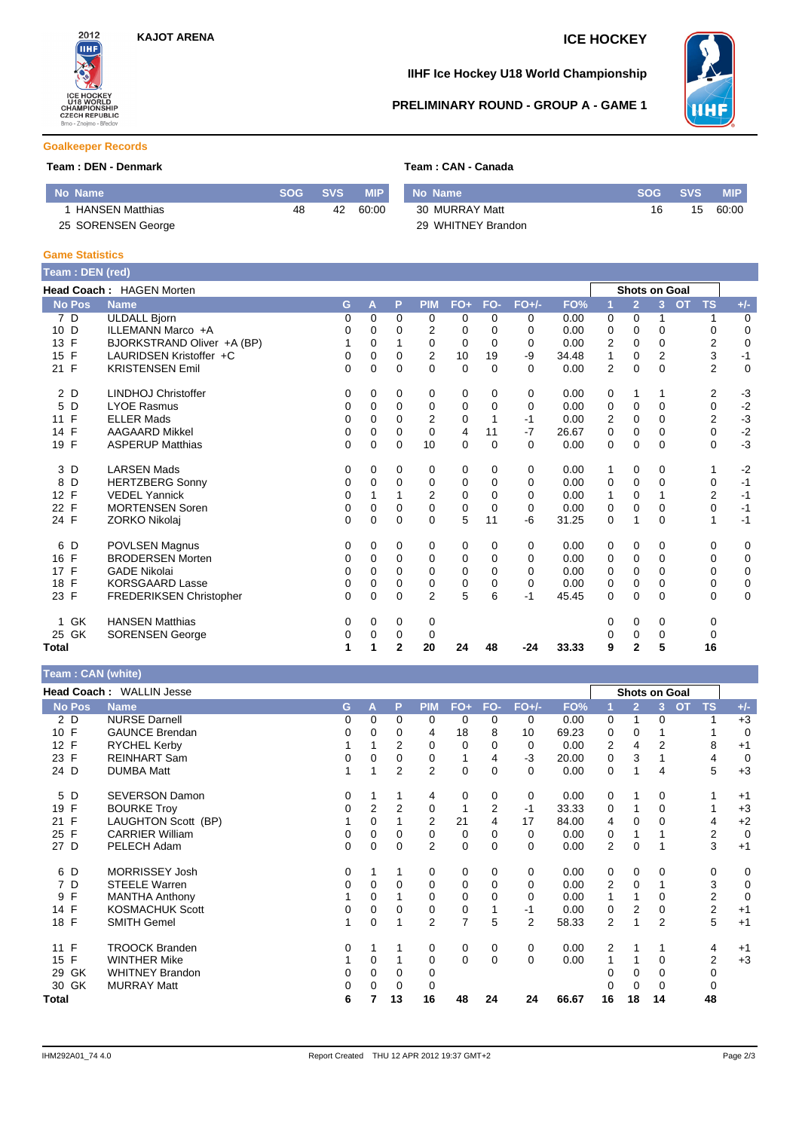

## **IIHF Ice Hockey U18 World Championship**

# **PRELIMINARY ROUND - GROUP A - GAME 1**



### **Goalkeeper Records**

## **Team : DEN - Denmark Team : CAN - Canada**

| No Name                |    | <b>SVS</b> | <b>MIP</b> | Mo Name            | SOG | <b>SVS</b> | <b>MIP</b> |
|------------------------|----|------------|------------|--------------------|-----|------------|------------|
| <b>HANSEN Matthias</b> | 48 | 42         | 60:00      | 30 MURRAY Matt     |     | 15         | 60:00      |
| 25 SORENSEN George     |    |            |            | 29 WHITNEY Brandon |     |            |            |

### **Game Statistics**

| Team: DEN (red)    |                                 |          |          |              |                |                |          |          |       |                |                      |                |           |                |                  |
|--------------------|---------------------------------|----------|----------|--------------|----------------|----------------|----------|----------|-------|----------------|----------------------|----------------|-----------|----------------|------------------|
|                    | <b>Head Coach: HAGEN Morten</b> |          |          |              |                |                |          |          |       |                | <b>Shots on Goal</b> |                |           |                |                  |
| <b>No Pos</b>      | <b>Name</b>                     | G        | A        | P            | <b>PIM</b>     | $FO+$          | FO-      | $FO+/-$  | FO%   | И              | $\overline{2}$       | 3 <sup>2</sup> | <b>OT</b> | <b>TS</b>      | $+/-$            |
| 7 D                | <b>ULDALL Bjorn</b>             | 0        | 0        | 0            | 0              | 0              | 0        | 0        | 0.00  | 0              | 0                    |                |           |                | 0                |
| 10 D               | ILLEMANN Marco +A               | 0        | 0        | 0            | 2              | 0              | $\Omega$ | 0        | 0.00  | 0              | 0                    | $\Omega$       |           | 0              | $\mathbf 0$      |
| $\mathsf{F}$<br>13 | BJORKSTRAND Oliver +A (BP)      |          | 0        |              | $\mathbf 0$    | $\Omega$       | $\Omega$ | 0        | 0.00  | 2              | $\Omega$             | $\Omega$       |           | $\overline{2}$ | $\mathbf 0$      |
| $\mathsf{F}$<br>15 | LAURIDSEN Kristoffer +C         | 0        | $\Omega$ | 0            | $\overline{2}$ | 10             | 19       | -9       | 34.48 | 1              | $\Omega$             | $\overline{2}$ |           | 3              | $-1$             |
| 21 F               | <b>KRISTENSEN Emil</b>          | 0        | $\Omega$ | 0            | $\Omega$       | $\Omega$       | $\Omega$ | $\Omega$ | 0.00  | $\overline{2}$ | $\Omega$             | $\Omega$       |           | $\overline{2}$ | $\mathbf 0$      |
| 2 D                | <b>LINDHOJ Christoffer</b>      | 0        | 0        | 0            | 0              | 0              | 0        | 0        | 0.00  | 0              | 1                    |                |           | 2              | $-3$             |
| D<br>5             | <b>LYOE Rasmus</b>              | 0        | 0        | $\Omega$     | 0              | 0              | $\Omega$ | $\Omega$ | 0.00  | 0              | 0                    | $\Omega$       |           | 0              | $-2$             |
| F<br>11            | <b>ELLER Mads</b>               | 0        | $\Omega$ | $\Omega$     | 2              | 0              |          | $-1$     | 0.00  | 2              | 0                    | $\Omega$       |           | 2              | $-3$<br>$-2$     |
| $\mathsf{F}$<br>14 | <b>AAGAARD Mikkel</b>           | 0        | $\Omega$ | $\Omega$     | $\Omega$       | $\overline{4}$ | 11       | $-7$     | 26.67 | 0              | $\Omega$             | $\Omega$       |           | 0              |                  |
| $\mathsf{F}$<br>19 | <b>ASPERUP Matthias</b>         | 0        | 0        | $\mathbf 0$  | 10             | $\mathbf 0$    | $\Omega$ | $\Omega$ | 0.00  | 0              | $\mathbf 0$          | 0              |           | 0              | $-3$             |
| 3 D                | <b>LARSEN Mads</b>              | 0        | 0        | 0            | 0              | 0              | 0        | 0        | 0.00  | 1              | 0                    | 0              |           | 1              | $-2$             |
| D<br>8             | <b>HERTZBERG Sonny</b>          | 0        | 0        | 0            | 0              | 0              | 0        | 0        | 0.00  | 0              | 0                    | $\Omega$       |           | 0              | $-1$             |
| 12 F               | <b>VEDEL Yannick</b>            | 0        | 1        |              | $\overline{2}$ | $\mathbf 0$    | 0        | 0        | 0.00  | 1              | 0                    |                |           | $\overline{2}$ | $-1$             |
| $\mathsf{F}$<br>22 | <b>MORTENSEN Soren</b>          | 0        | 0        | 0            | $\mathbf 0$    | $\mathbf 0$    | $\Omega$ | 0        | 0.00  | 0              | $\mathbf 0$          | 0              |           | 0              | $-1$             |
| 24 F               | ZORKO Nikolaj                   | $\Omega$ | $\Omega$ | $\Omega$     | $\Omega$       | 5              | 11       | -6       | 31.25 | 0              | 1                    | $\Omega$       |           | 1              | $-1$             |
| 6<br>D             | POVLSEN Magnus                  | 0        | 0        | 0            | 0              | 0              | 0        | 0        | 0.00  | 0              | $\mathbf 0$          | 0              |           | 0              | 0                |
| F<br>16            | <b>BRODERSEN Morten</b>         | 0        | 0        | $\Omega$     | $\mathbf 0$    | 0              | $\Omega$ | 0        | 0.00  | 0              | 0                    | $\Omega$       |           | 0              | $\boldsymbol{0}$ |
| $\mathsf{F}$<br>17 | <b>GADE Nikolai</b>             | 0        | 0        | $\Omega$     | $\mathbf 0$    | 0              | $\Omega$ | 0        | 0.00  | 0              | 0                    | 0              |           | 0              | $\mathbf 0$      |
| $\mathsf{F}$<br>18 | <b>KORSGAARD Lasse</b>          | 0        | 0        | $\Omega$     | 0              | 0              | $\Omega$ | $\Omega$ | 0.00  | 0              | 0                    | $\Omega$       |           | 0              | $\boldsymbol{0}$ |
| 23 F               | FREDERIKSEN Christopher         | $\Omega$ | $\Omega$ | $\Omega$     | $\overline{2}$ | 5              | 6        | $-1$     | 45.45 | 0              | $\Omega$             | $\Omega$       |           | $\Omega$       | $\mathbf 0$      |
| GK                 | <b>HANSEN Matthias</b>          | 0        | 0        | 0            | 0              |                |          |          |       | 0              | 0                    | 0              |           | 0              |                  |
| 25 GK              | <b>SORENSEN George</b>          | 0        | 0        | 0            | 0              |                |          |          |       | 0              | 0                    | 0              |           | 0              |                  |
| Total              |                                 | 1        | 1        | $\mathbf{2}$ | 20             | 24             | 48       | $-24$    | 33.33 | 9              | $\overline{2}$       | 5              |           | 16             |                  |

# **Team : CAN (white)**

| $1$ called $\sqrt{N}$ (write) |                          |   |                |                |                |                |                |          |       |                |                |                |           |                  |             |
|-------------------------------|--------------------------|---|----------------|----------------|----------------|----------------|----------------|----------|-------|----------------|----------------|----------------|-----------|------------------|-------------|
|                               | Head Coach: WALLIN Jesse |   |                |                |                |                |                |          |       |                |                | Shots on Goal  |           |                  |             |
| <b>No Pos</b>                 | <b>Name</b>              | G | A              | P              | <b>PIM</b>     | FO+            | FO-            | $FO+/-$  | FO%   |                | $\overline{2}$ | 3 <sup>2</sup> | <b>OT</b> | <b>TS</b>        | $+/-$       |
| 2 D                           | <b>NURSE Darnell</b>     | 0 | 0              | $\Omega$       | $\Omega$       | 0              | $\Omega$       | 0        | 0.00  | 0              | 1              | 0              |           |                  | $+3$        |
| 10 F                          | <b>GAUNCE Brendan</b>    | 0 | 0              | 0              | 4              | 18             | 8              | 10       | 69.23 | 0              | 0              |                |           |                  | $\mathbf 0$ |
| 12 F                          | RYCHEL Kerby             |   |                | 2              | 0              | 0              | 0              | 0        | 0.00  | 2              | 4              | 2              |           | 8                | $+1$        |
| 23 F                          | <b>REINHART Sam</b>      | 0 | 0              | 0              | 0              | 1              | 4              | $-3$     | 20.00 | 0              | 3              |                |           | 4                | $\mathbf 0$ |
| 24 D                          | <b>DUMBA Matt</b>        |   | 1              | $\overline{2}$ | $\overline{2}$ | $\mathbf 0$    | $\Omega$       | 0        | 0.00  | 0              | 1              | 4              |           | 5                | $+3$        |
| 5 D                           | <b>SEVERSON Damon</b>    | 0 |                |                | 4              | 0              | 0              | 0        | 0.00  | 0              |                | $\Omega$       |           |                  | $+1$        |
| F<br>19                       | <b>BOURKE Troy</b>       | 0 | $\overline{2}$ | 2              | 0              | 1              | $\overline{2}$ | $-1$     | 33.33 | 0              |                | 0              |           |                  | $+3$        |
| F<br>21                       | LAUGHTON Scott (BP)      |   | 0              |                | 2              | 21             |                | 17       | 84.00 | 4              | $\Omega$       | 0              |           | 4                | $+2$        |
| $\mathsf{F}$<br>25            | <b>CARRIER William</b>   | 0 | 0              | 0              | 0              | 0              | 0              | 0        | 0.00  | 0              |                |                |           | $\boldsymbol{2}$ | $\mathbf 0$ |
| 27 D                          | PELECH Adam              | 0 | 0              | $\Omega$       | $\overline{2}$ | $\mathbf 0$    | $\Omega$       | $\Omega$ | 0.00  | $\overline{2}$ | $\mathbf 0$    |                |           | 3                | $+1$        |
| 6 D                           | <b>MORRISSEY Josh</b>    | 0 |                |                | 0              | 0              | 0              | 0        | 0.00  | 0              | 0              | 0              |           | 0                | 0           |
| 7 D                           | <b>STEELE Warren</b>     | 0 | 0              | 0              | 0              | 0              | $\Omega$       | 0        | 0.00  | 2              | $\Omega$       |                |           | 3                | 0           |
| F<br>9                        | <b>MANTHA Anthony</b>    |   | 0              |                | 0              | $\mathbf 0$    | 0              | 0        | 0.00  |                |                | 0              |           | $\overline{2}$   | $\mathbf 0$ |
| 14 F                          | <b>KOSMACHUK Scott</b>   | 0 | 0              |                | 0              | 0              |                | $-1$     | 0.00  | 0              | 2              | 0              |           | $\overline{c}$   | $+1$        |
| 18 F                          | <b>SMITH Gemel</b>       |   | 0              |                | 2              | $\overline{7}$ | 5              | 2        | 58.33 | 2              | 1              | 2              |           | 5                | $+1$        |
| 11 F                          | <b>TROOCK Branden</b>    | 0 |                |                | 0              | 0              | 0              | 0        | 0.00  | 2              |                |                |           | 4                | $+1$        |
| $\mathsf{F}$<br>15            | <b>WINTHER Mike</b>      |   | 0              |                | 0              | $\mathbf 0$    | 0              | 0        | 0.00  |                |                | 0              |           | 2                | $+3$        |
| 29 GK                         | <b>WHITNEY Brandon</b>   | 0 | 0              |                | 0              |                |                |          |       |                | 0              | 0              |           | $\mathbf 0$      |             |
| GK<br>30                      | <b>MURRAY Matt</b>       | 0 | 0              | 0              | 0              |                |                |          |       | 0              | 0              | 0              |           | 0                |             |
| Total                         |                          | 6 |                | 13             | 16             | 48             | 24             | 24       | 66.67 | 16             | 18             | 14             |           | 48               |             |